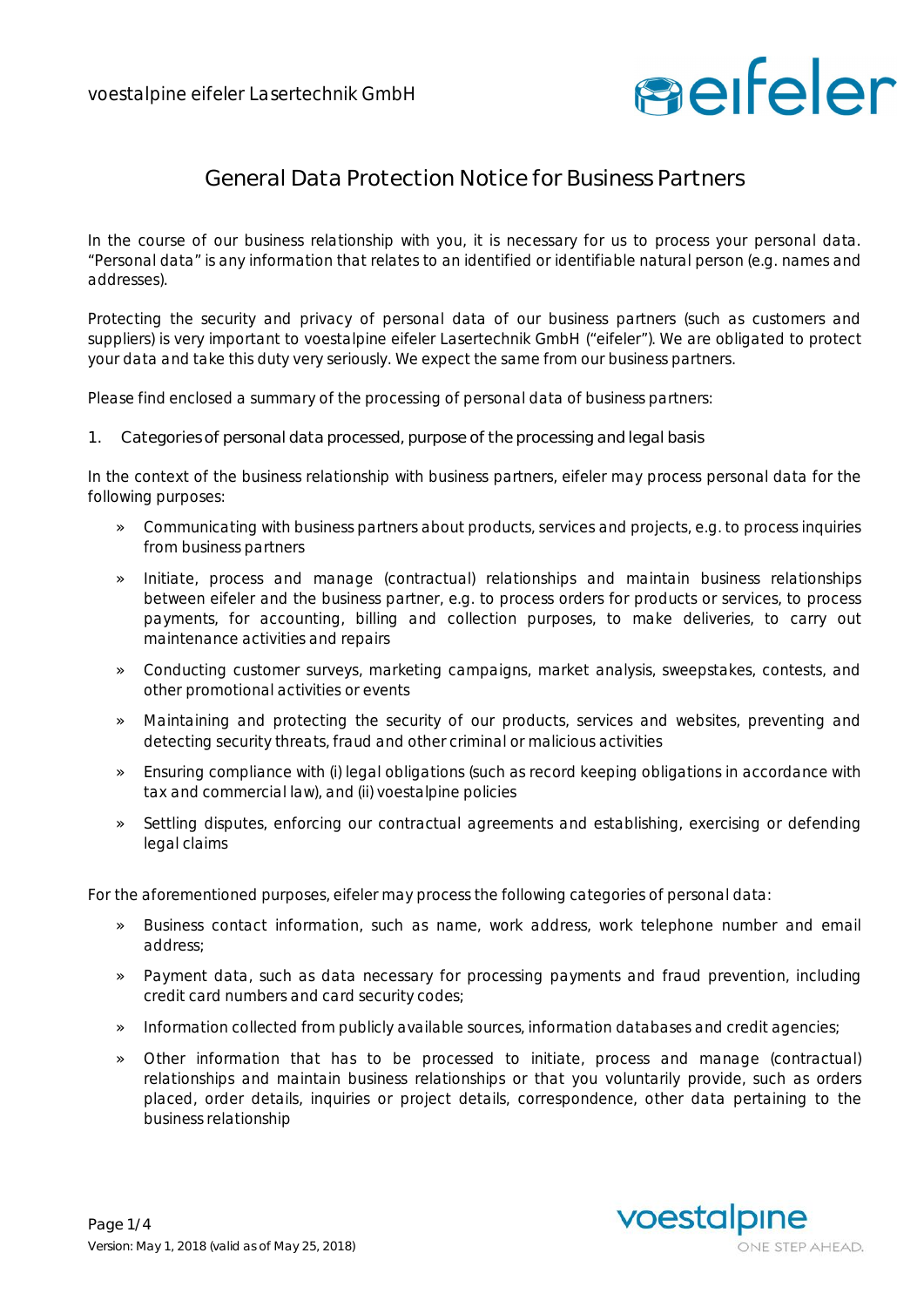

## **General Data Protection Notice for Business Partners**

In the course of our business relationship with you, it is necessary for us to process your personal data. "Personal data" is any information that relates to an identified or identifiable natural person (e.g. names and addresses).

Protecting the security and privacy of personal data of our business partners (such as customers and suppliers) is very important to voestalpine eifeler Lasertechnik GmbH ("eifeler"). We are obligated to protect your data and take this duty very seriously. We expect the same from our business partners.

Please find enclosed a summary of the processing of personal data of business partners:

**1. Categories of personal data processed, purpose of the processing and legal basis**

In the context of the business relationship with business partners, eifeler may process personal data for the following purposes:

- » Communicating with business partners about products, services and projects, e.g. to process inquiries from business partners
- » Initiate, process and manage (contractual) relationships and maintain business relationships between eifeler and the business partner, e.g. to process orders for products or services, to process payments, for accounting, billing and collection purposes, to make deliveries, to carry out maintenance activities and repairs
- » Conducting customer surveys, marketing campaigns, market analysis, sweepstakes, contests, and other promotional activities or events
- » Maintaining and protecting the security of our products, services and websites, preventing and detecting security threats, fraud and other criminal or malicious activities
- » Ensuring compliance with (i) legal obligations (such as record keeping obligations in accordance with tax and commercial law), and (ii) voestalpine policies
- » Settling disputes, enforcing our contractual agreements and establishing, exercising or defending legal claims

For the aforementioned purposes, eifeler may process the following categories of personal data:

- » Business contact information, such as name, work address, work telephone number and email address;
- » Payment data, such as data necessary for processing payments and fraud prevention, including credit card numbers and card security codes;
- » Information collected from publicly available sources, information databases and credit agencies;
- » Other information that has to be processed to initiate, process and manage (contractual) relationships and maintain business relationships or that you voluntarily provide, such as orders placed, order details, inquiries or project details, correspondence, other data pertaining to the business relationship

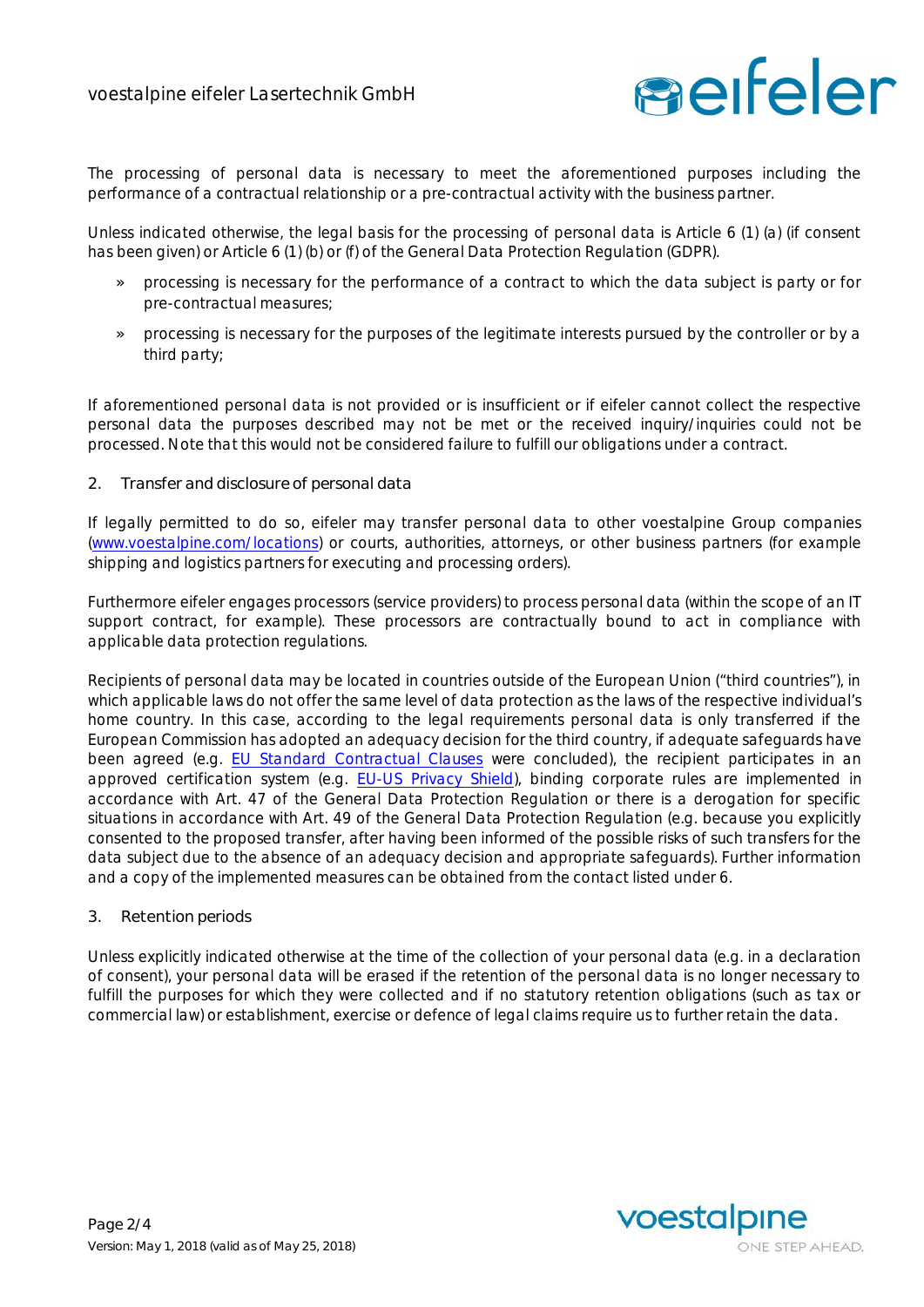

The processing of personal data is necessary to meet the aforementioned purposes including the performance of a contractual relationship or a pre-contractual activity with the business partner.

Unless indicated otherwise, the legal basis for the processing of personal data is Article 6 (1) (a) (if consent has been given) or Article 6 (1) (b) or (f) of the General Data Protection Regulation (GDPR).

- » processing is necessary for the performance of a contract to which the data subject is party or for pre-contractual measures;
- » processing is necessary for the purposes of the legitimate interests pursued by the controller or by a third party;

If aforementioned personal data is not provided or is insufficient or if eifeler cannot collect the respective personal data the purposes described may not be met or the received inquiry/inquiries could not be processed. Note that this would not be considered failure to fulfill our obligations under a contract.

**2. Transfer and disclosure of personal data**

If legally permitted to do so, eifeler may transfer personal data to other voestalpine Group companies (www.voestalpine.com/locations) or courts, authorities, attorneys, or other business partners (for example shipping and logistics partners for executing and processing orders).

Furthermore eifeler engages processors (service providers) to process personal data (within the scope of an IT support contract, for example). These processors are contractually bound to act in compliance with applicable data protection regulations.

Recipients of personal data may be located in countries outside of the European Union ("third countries"), in which applicable laws do not offer the same level of data protection as the laws of the respective individual's home country. In this case, according to the legal requirements personal data is only transferred if the European Commission has adopted an adequacy decision for the third country, if adequate safeguards have been agreed (e.g. EU Standard Contractual Clauses were concluded), the recipient participates in an approved certification system (e.g. EU-US Privacy Shield), binding corporate rules are implemented in accordance with Art. 47 of the General Data Protection Regulation or there is a derogation for specific situations in accordance with Art. 49 of the General Data Protection Regulation (e.g. because you explicitly consented to the proposed transfer, after having been informed of the possible risks of such transfers for the data subject due to the absence of an adequacy decision and appropriate safeguards). Further information and a copy of the implemented measures can be obtained from the contact listed under 6.

**3. Retention periods**

Unless explicitly indicated otherwise at the time of the collection of your personal data (e.g. in a declaration of consent), your personal data will be erased if the retention of the personal data is no longer necessary to fulfill the purposes for which they were collected and if no statutory retention obligations (such as tax or commercial law) or establishment, exercise or defence of legal claims require us to further retain the data.

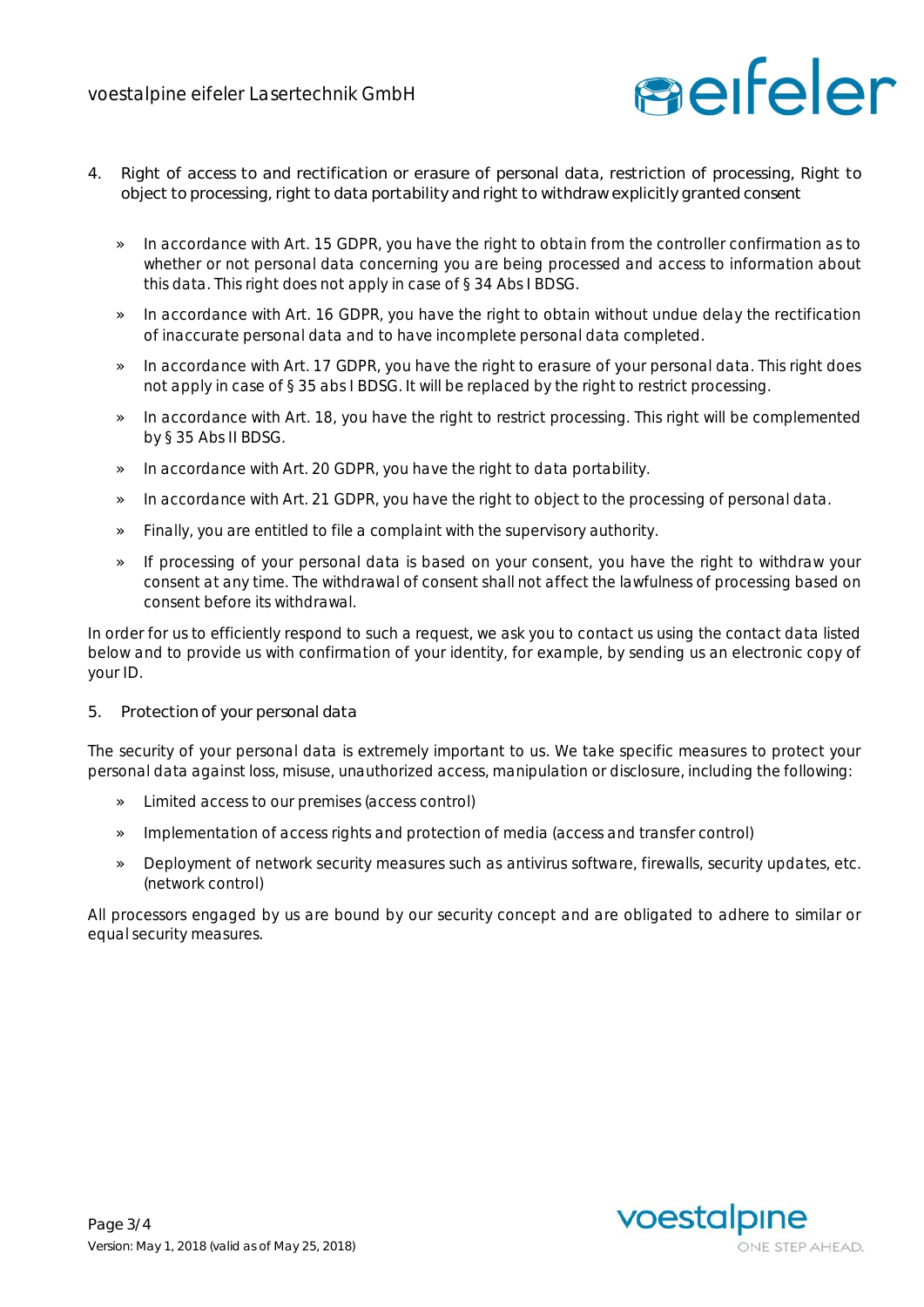

- **4. Right of access to and rectification or erasure of personal data, restriction of processing, Right to object to processing, right to data portability and right to withdraw explicitly granted consent**
	- » In accordance with Art. 15 GDPR, you have the right to obtain from the controller confirmation as to whether or not personal data concerning you are being processed and access to information about this data. This right does not apply in case of § 34 Abs I BDSG.
	- » In accordance with Art. 16 GDPR, you have the right to obtain without undue delay the rectification of inaccurate personal data and to have incomplete personal data completed.
	- » In accordance with Art. 17 GDPR, you have the right to erasure of your personal data. This right does not apply in case of § 35 abs I BDSG. It will be replaced by the right to restrict processing.
	- » In accordance with Art. 18, you have the right to restrict processing. This right will be complemented by § 35 Abs II BDSG.
	- » In accordance with Art. 20 GDPR, you have the right to data portability.
	- » In accordance with Art. 21 GDPR, you have the right to object to the processing of personal data.
	- » Finally, you are entitled to file a complaint with the supervisory authority.
	- » If processing of your personal data is based on your consent, you have the right to withdraw your consent at any time. The withdrawal of consent shall not affect the lawfulness of processing based on consent before its withdrawal.

In order for us to efficiently respond to such a request, we ask you to contact us using the contact data listed below and to provide us with confirmation of your identity, for example, by sending us an electronic copy of your ID.

**5. Protection of your personal data**

The security of your personal data is extremely important to us. We take specific measures to protect your personal data against loss, misuse, unauthorized access, manipulation or disclosure, including the following:

- » Limited access to our premises (access control)
- » Implementation of access rights and protection of media (access and transfer control)
- » Deployment of network security measures such as antivirus software, firewalls, security updates, etc. (network control)

All processors engaged by us are bound by our security concept and are obligated to adhere to similar or equal security measures.